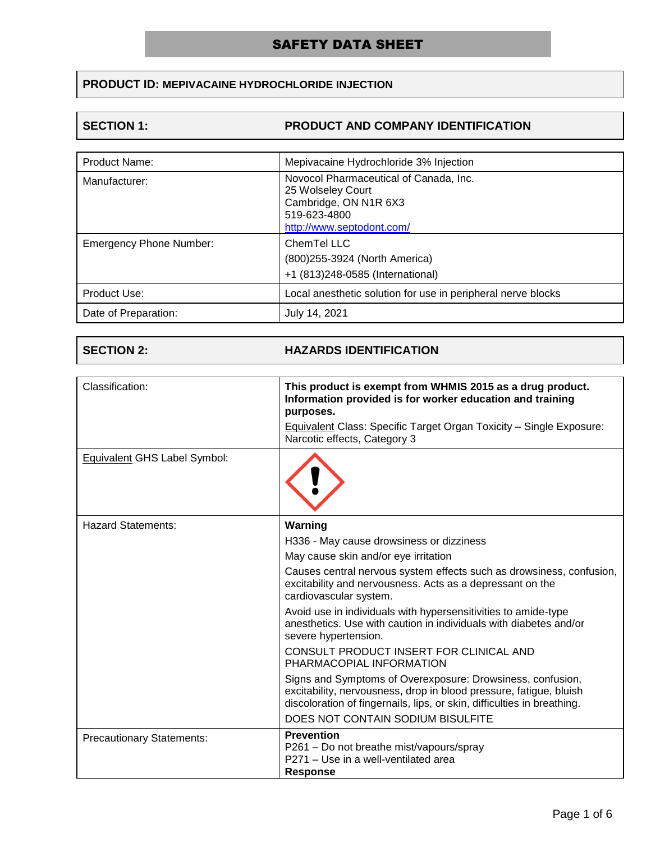## **PRODUCT ID: MEPIVACAINE HYDROCHLORIDE INJECTION**

### **SECTION 1: PRODUCT AND COMPANY IDENTIFICATION**

| <b>Product Name:</b>           | Mepivacaine Hydrochloride 3% Injection                                                                                            |
|--------------------------------|-----------------------------------------------------------------------------------------------------------------------------------|
| Manufacturer:                  | Novocol Pharmaceutical of Canada, Inc.<br>25 Wolseley Court<br>Cambridge, ON N1R 6X3<br>519-623-4800<br>http://www.septodont.com/ |
| <b>Emergency Phone Number:</b> | ChemTel LLC<br>(800) 255-3924 (North America)<br>+1 (813)248-0585 (International)                                                 |
| Product Use:                   | Local anesthetic solution for use in peripheral nerve blocks                                                                      |
| Date of Preparation:           | July 14, 2021                                                                                                                     |

### **SECTION 2: HAZARDS IDENTIFICATION**

| Classification:                     | This product is exempt from WHMIS 2015 as a drug product.<br>Information provided is for worker education and training<br>purposes.<br>Equivalent Class: Specific Target Organ Toxicity - Single Exposure:<br>Narcotic effects, Category 3       |
|-------------------------------------|--------------------------------------------------------------------------------------------------------------------------------------------------------------------------------------------------------------------------------------------------|
| <b>Equivalent GHS Label Symbol:</b> |                                                                                                                                                                                                                                                  |
| Hazard Statements:                  | Warning                                                                                                                                                                                                                                          |
|                                     | H336 - May cause drowsiness or dizziness                                                                                                                                                                                                         |
|                                     | May cause skin and/or eye irritation                                                                                                                                                                                                             |
|                                     | Causes central nervous system effects such as drowsiness, confusion,<br>excitability and nervousness. Acts as a depressant on the<br>cardiovascular system.                                                                                      |
|                                     | Avoid use in individuals with hypersensitivities to amide-type<br>anesthetics. Use with caution in individuals with diabetes and/or<br>severe hypertension.                                                                                      |
|                                     | CONSULT PRODUCT INSERT FOR CLINICAL AND<br>PHARMACOPIAL INFORMATION                                                                                                                                                                              |
|                                     | Signs and Symptoms of Overexposure: Drowsiness, confusion,<br>excitability, nervousness, drop in blood pressure, fatigue, bluish<br>discoloration of fingernails, lips, or skin, difficulties in breathing.<br>DOES NOT CONTAIN SODIUM BISULFITE |
| <b>Precautionary Statements:</b>    | <b>Prevention</b><br>P261 – Do not breathe mist/vapours/spray<br>P271 – Use in a well-ventilated area<br>Response                                                                                                                                |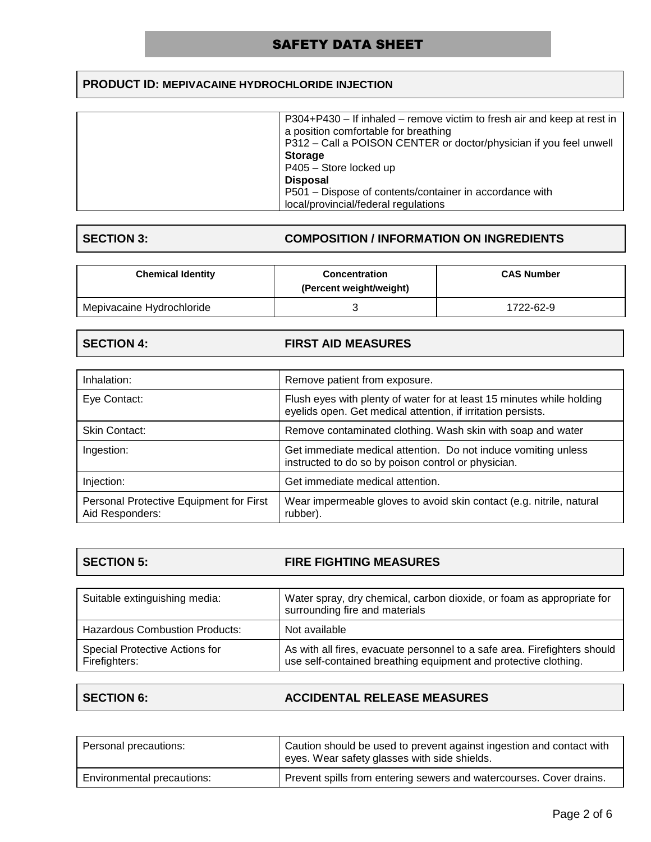## **PRODUCT ID: MEPIVACAINE HYDROCHLORIDE INJECTION**

| P304+P430 – If inhaled – remove victim to fresh air and keep at rest in |
|-------------------------------------------------------------------------|
| a position comfortable for breathing                                    |
| P312 – Call a POISON CENTER or doctor/physician if you feel unwell      |
| <b>Storage</b>                                                          |
| P405 - Store locked up                                                  |
| <b>Disposal</b>                                                         |
| P501 – Dispose of contents/container in accordance with                 |
| local/provincial/federal regulations                                    |
|                                                                         |

### **SECTION 3: COMPOSITION / INFORMATION ON INGREDIENTS**

| <b>Chemical Identity</b>  | <b>Concentration</b><br>(Percent weight/weight) | <b>CAS Number</b> |  |
|---------------------------|-------------------------------------------------|-------------------|--|
| Mepivacaine Hydrochloride |                                                 | 1722-62-9         |  |

# **SECTION 4: FIRST AID MEASURES**

| Inhalation:                                                | Remove patient from exposure.                                                                                                         |
|------------------------------------------------------------|---------------------------------------------------------------------------------------------------------------------------------------|
| Eye Contact:                                               | Flush eyes with plenty of water for at least 15 minutes while holding<br>eyelids open. Get medical attention, if irritation persists. |
| Skin Contact:                                              | Remove contaminated clothing. Wash skin with soap and water                                                                           |
| Ingestion:                                                 | Get immediate medical attention. Do not induce vomiting unless<br>instructed to do so by poison control or physician.                 |
| Injection:                                                 | Get immediate medical attention.                                                                                                      |
| Personal Protective Equipment for First<br>Aid Responders: | Wear impermeable gloves to avoid skin contact (e.g. nitrile, natural<br>rubber).                                                      |

| <b>SECTION 5:</b> | <b>FIRE FIGHTING MEASURES</b> |
|-------------------|-------------------------------|
|                   |                               |

| Suitable extinguishing media:                   | Water spray, dry chemical, carbon dioxide, or foam as appropriate for<br>surrounding fire and materials                                      |
|-------------------------------------------------|----------------------------------------------------------------------------------------------------------------------------------------------|
| <b>Hazardous Combustion Products:</b>           | Not available                                                                                                                                |
| Special Protective Actions for<br>Firefighters: | As with all fires, evacuate personnel to a safe area. Firefighters should<br>use self-contained breathing equipment and protective clothing. |

Г

## **SECTION 6: ACCIDENTAL RELEASE MEASURES**

| Personal precautions:      | Caution should be used to prevent against ingestion and contact with<br>eyes. Wear safety glasses with side shields. |
|----------------------------|----------------------------------------------------------------------------------------------------------------------|
| Environmental precautions: | Prevent spills from entering sewers and watercourses. Cover drains.                                                  |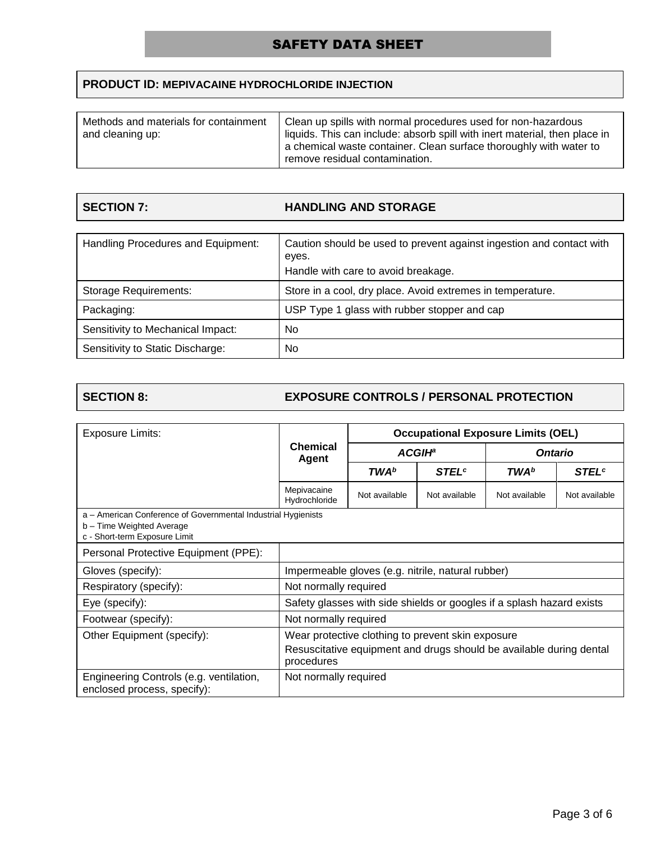## **PRODUCT ID: MEPIVACAINE HYDROCHLORIDE INJECTION**

| Methods and materials for containment<br>and cleaning up: | Clean up spills with normal procedures used for non-hazardous<br>liquids. This can include: absorb spill with inert material, then place in<br>a chemical waste container. Clean surface thoroughly with water to<br>remove residual contamination. |
|-----------------------------------------------------------|-----------------------------------------------------------------------------------------------------------------------------------------------------------------------------------------------------------------------------------------------------|
|-----------------------------------------------------------|-----------------------------------------------------------------------------------------------------------------------------------------------------------------------------------------------------------------------------------------------------|

| <b>SECTION 7:</b> |
|-------------------|
|                   |

## **HANDLING AND STORAGE**

| Handling Procedures and Equipment: | Caution should be used to prevent against ingestion and contact with<br>eyes.<br>Handle with care to avoid breakage. |
|------------------------------------|----------------------------------------------------------------------------------------------------------------------|
| <b>Storage Requirements:</b>       | Store in a cool, dry place. Avoid extremes in temperature.                                                           |
| Packaging:                         | USP Type 1 glass with rubber stopper and cap                                                                         |
| Sensitivity to Mechanical Impact:  | No                                                                                                                   |
| Sensitivity to Static Discharge:   | No                                                                                                                   |

### **SECTION 8: EXPOSURE CONTROLS / PERSONAL PROTECTION**

| Exposure Limits:                                                                                                            |                                                                                   | <b>Occupational Exposure Limits (OEL)</b> |                          |                |                          |
|-----------------------------------------------------------------------------------------------------------------------------|-----------------------------------------------------------------------------------|-------------------------------------------|--------------------------|----------------|--------------------------|
|                                                                                                                             | <b>Chemical</b>                                                                   | <b>ACGIH</b> <sup>a</sup><br>Agent        |                          | <b>Ontario</b> |                          |
|                                                                                                                             |                                                                                   | TWA <sup>b</sup>                          | <b>STEL</b> <sup>c</sup> | <b>TWA</b> b   | <b>STEL</b> <sup>c</sup> |
|                                                                                                                             | Mepivacaine<br>Hydrochloride                                                      | Not available                             | Not available            | Not available  | Not available            |
| a - American Conference of Governmental Industrial Hygienists<br>b - Time Weighted Average<br>c - Short-term Exposure Limit |                                                                                   |                                           |                          |                |                          |
| Personal Protective Equipment (PPE):                                                                                        |                                                                                   |                                           |                          |                |                          |
| Gloves (specify):                                                                                                           | Impermeable gloves (e.g. nitrile, natural rubber)                                 |                                           |                          |                |                          |
| Respiratory (specify):                                                                                                      | Not normally required                                                             |                                           |                          |                |                          |
| Eye (specify):                                                                                                              | Safety glasses with side shields or googles if a splash hazard exists             |                                           |                          |                |                          |
| Footwear (specify):                                                                                                         | Not normally required                                                             |                                           |                          |                |                          |
| Other Equipment (specify):                                                                                                  | Wear protective clothing to prevent skin exposure                                 |                                           |                          |                |                          |
|                                                                                                                             | Resuscitative equipment and drugs should be available during dental<br>procedures |                                           |                          |                |                          |
| Engineering Controls (e.g. ventilation,<br>enclosed process, specify):                                                      | Not normally required                                                             |                                           |                          |                |                          |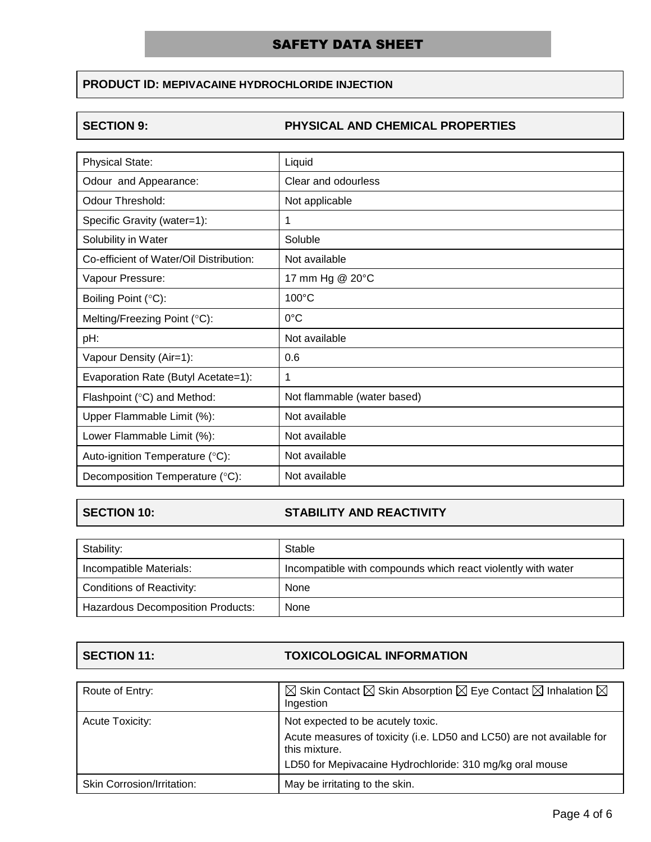## **PRODUCT ID: MEPIVACAINE HYDROCHLORIDE INJECTION**

### **SECTION 9: PHYSICAL AND CHEMICAL PROPERTIES**

| <b>Physical State:</b>                  | Liquid                      |
|-----------------------------------------|-----------------------------|
| Odour and Appearance:                   | Clear and odourless         |
| Odour Threshold:                        | Not applicable              |
| Specific Gravity (water=1):             | 1                           |
| Solubility in Water                     | Soluble                     |
| Co-efficient of Water/Oil Distribution: | Not available               |
| Vapour Pressure:                        | 17 mm Hg @ 20°C             |
| Boiling Point (°C):                     | 100°C                       |
| Melting/Freezing Point (°C):            | $0^{\circ}$ C               |
| pH:                                     | Not available               |
| Vapour Density (Air=1):                 | 0.6                         |
| Evaporation Rate (Butyl Acetate=1):     | 1                           |
| Flashpoint (°C) and Method:             | Not flammable (water based) |
| Upper Flammable Limit (%):              | Not available               |
| Lower Flammable Limit (%):              | Not available               |
| Auto-ignition Temperature (°C):         | Not available               |
| Decomposition Temperature (°C):         | Not available               |

## **SECTION 10: STABILITY AND REACTIVITY**

| Stability:                               | Stable                                                       |
|------------------------------------------|--------------------------------------------------------------|
| Incompatible Materials:                  | Incompatible with compounds which react violently with water |
| <b>Conditions of Reactivity:</b>         | None                                                         |
| <b>Hazardous Decomposition Products:</b> | None                                                         |

### **SECTION 11: TOXICOLOGICAL INFORMATION**

| Route of Entry:            | $\boxtimes$ Skin Contact $\boxtimes$ Skin Absorption $\boxtimes$ Eye Contact $\boxtimes$ Inhalation $\boxtimes$<br>Ingestion |
|----------------------------|------------------------------------------------------------------------------------------------------------------------------|
| Acute Toxicity:            | Not expected to be acutely toxic.                                                                                            |
|                            | Acute measures of toxicity (i.e. LD50 and LC50) are not available for<br>this mixture.                                       |
|                            | LD50 for Mepivacaine Hydrochloride: 310 mg/kg oral mouse                                                                     |
| Skin Corrosion/Irritation: | May be irritating to the skin.                                                                                               |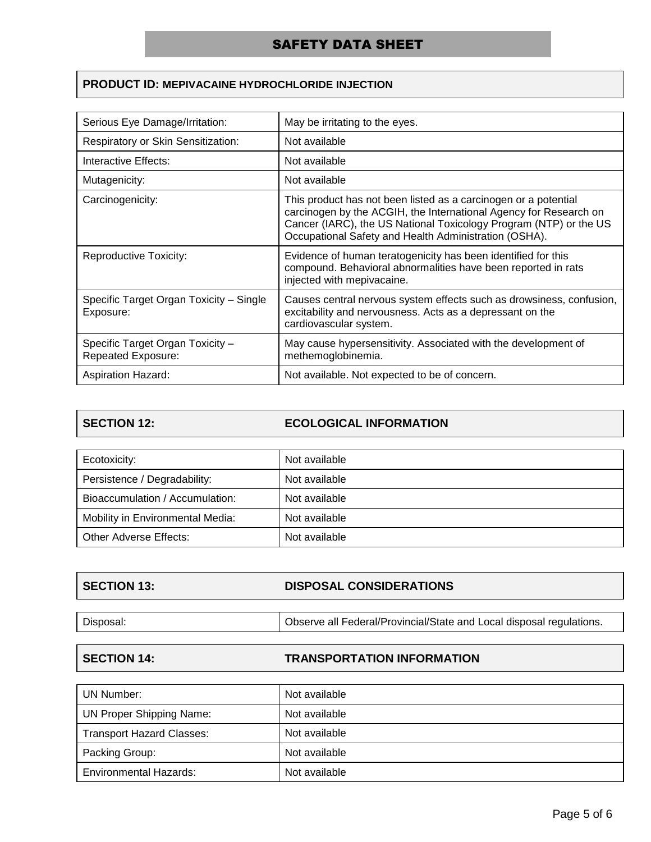### **PRODUCT ID: MEPIVACAINE HYDROCHLORIDE INJECTION**

| Serious Eye Damage/Irritation:                         | May be irritating to the eyes.                                                                                                                                                                                                                                     |
|--------------------------------------------------------|--------------------------------------------------------------------------------------------------------------------------------------------------------------------------------------------------------------------------------------------------------------------|
| Respiratory or Skin Sensitization:                     | Not available                                                                                                                                                                                                                                                      |
| Interactive Effects:                                   | Not available                                                                                                                                                                                                                                                      |
| Mutagenicity:                                          | Not available                                                                                                                                                                                                                                                      |
| Carcinogenicity:                                       | This product has not been listed as a carcinogen or a potential<br>carcinogen by the ACGIH, the International Agency for Research on<br>Cancer (IARC), the US National Toxicology Program (NTP) or the US<br>Occupational Safety and Health Administration (OSHA). |
| Reproductive Toxicity:                                 | Evidence of human teratogenicity has been identified for this<br>compound. Behavioral abnormalities have been reported in rats<br>injected with mepivacaine.                                                                                                       |
| Specific Target Organ Toxicity – Single<br>Exposure:   | Causes central nervous system effects such as drowsiness, confusion,<br>excitability and nervousness. Acts as a depressant on the<br>cardiovascular system.                                                                                                        |
| Specific Target Organ Toxicity -<br>Repeated Exposure: | May cause hypersensitivity. Associated with the development of<br>methemoglobinemia.                                                                                                                                                                               |
| <b>Aspiration Hazard:</b>                              | Not available. Not expected to be of concern.                                                                                                                                                                                                                      |

### **SECTION 12: ECOLOGICAL INFORMATION**

| Ecotoxicity:                     | Not available |
|----------------------------------|---------------|
| Persistence / Degradability:     | Not available |
| Bioaccumulation / Accumulation:  | Not available |
| Mobility in Environmental Media: | Not available |
| Other Adverse Effects:           | Not available |

### **SECTION 13: DISPOSAL CONSIDERATIONS**

# Disposal: **Disposal: Observe all Federal/Provincial/State and Local disposal regulations.**

### **SECTION 14: TRANSPORTATION INFORMATION**

| UN Number:                       | Not available |
|----------------------------------|---------------|
| <b>UN Proper Shipping Name:</b>  | Not available |
| <b>Transport Hazard Classes:</b> | Not available |
| Packing Group:                   | Not available |
| <b>Environmental Hazards:</b>    | Not available |